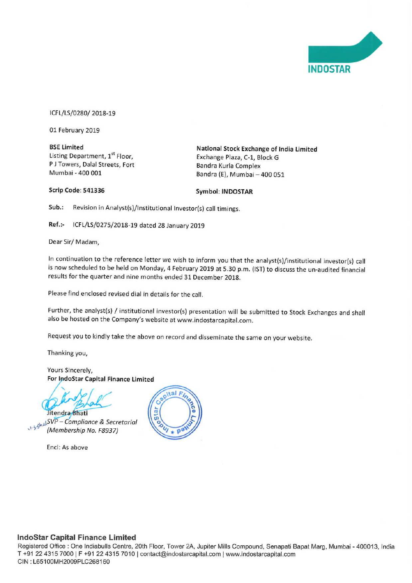

iCFL/LS/OZSO/ 2018-19

01 February 2019

P J Towers, Dalal Streets, Fort<br>Mumbai - 400 001

BSE Limited<br>
Listing Department,  $1^{st}$  Floor.<br>
Exchange Plaza C-1 Block G<br>
Exchange Plaza C-1 Block G Exchange Plaza, C-1, Block G<br>Bandra Kurla Complex Bandra (E), Mumbai - 400 051

Scrip Code: 541336 Symbol: INDOSTAR

Sub.: Revision in Analyst(s)/Institutional Investor(s) call timings.

Ref.:- lCFL/LS/0275/2018—19 dated <sup>28</sup> January 2019

Dear Sir/ Madam,

In continuation to the reference letter we wish to inform you that the analyst(s)/institutional investor(s) call is now scheduled to be held on Monday, 4 February 2019 at 5.30 p.m. (IST) to discuss the un-audited financial results for the quarter and nine months ended 31 December 2018.

Please find enclosed revised dial in details for the call.

Further, the analyst(s) / institutional investor(s) presentation will be submitted to Stock Exchanges and shall also be hosted on the Company's website at www.indostarcapital.com.

Request you to kindly take the above on record and disseminate the same on your website.

Thanking you,

Yours Sincerely,<br>For IndoStar Capital Finance Limited

Jitendra Bhati

SVP – Compliance & Secretarial (Membership No. F8937

Encl: As above



# IndoStar Capital Finance Limited

Registered Office : One Indiabulls Centre, 20th Floor, Tower 2A, Jupiter Mills Compound, Senapati Bapat Marg, Mumbai - 400013, India T +91 22 4315 7000 | F +91 22 4315 7010 | contact@indostarcapital.com | www.indostarcapital.com CIN : L65100MH2009PLC268160